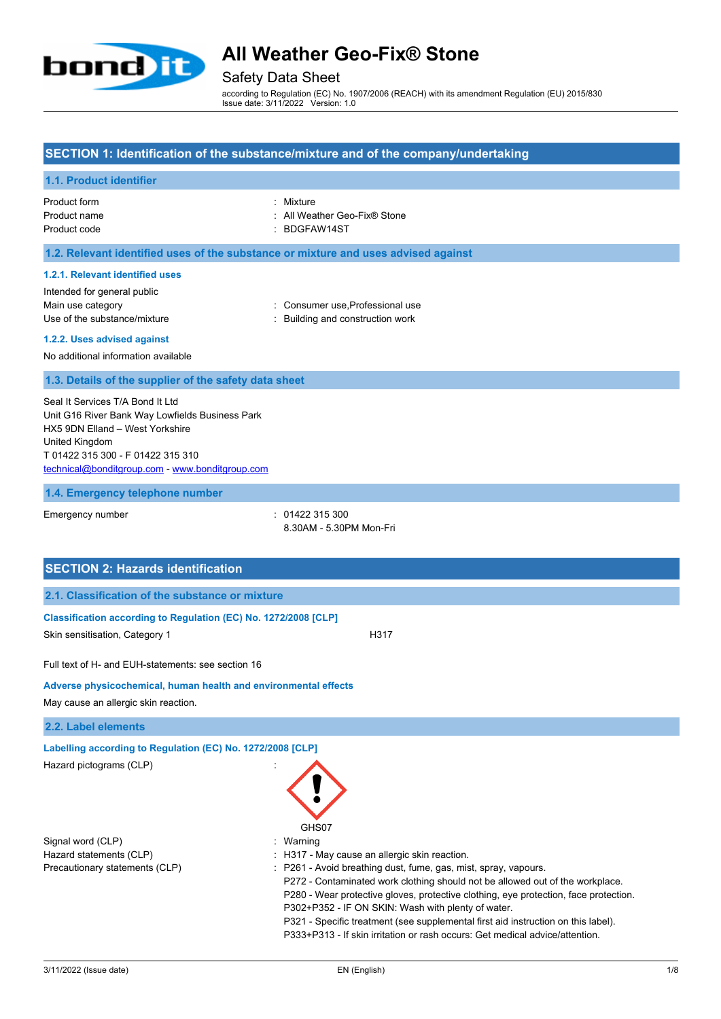

# Safety Data Sheet

according to Regulation (EC) No. 1907/2006 (REACH) with its amendment Regulation (EU) 2015/830 Issue date: 3/11/2022 Version: 1.0

### **SECTION 1: Identification of the substance/mixture and of the company/undertaking**

## **1.1. Product identifier**

| Product form | : Mixture |
|--------------|-----------|
| Product name | : All Wea |
| Product code | : BDGFA   |

| Product form | Mixture                      |
|--------------|------------------------------|
| Product name | : All Weather Geo-Fix® Stone |

: BDGFAW14ST

## **1.2. Relevant identified uses of the substance or mixture and uses advised against**

### **1.2.1. Relevant identified uses**

| Intended for general public  |
|------------------------------|
| Main use category            |
| Use of the substance/mixture |

: Consumer use,Professional use

: Building and construction work

## **1.2.2. Uses advised against**

No additional information available

#### **1.3. Details of the supplier of the safety data sheet**

Seal It Services T/A Bond It Ltd Unit G16 River Bank Way Lowfields Business Park HX5 9DN Elland – West Yorkshire United Kingdom T 01422 315 300 - F 01422 315 310 [technical@bonditgroup.com](mailto:technical@bonditgroup.com) - [www.bonditgroup.com](http://www.bonditgroup.com/)

#### **1.4. Emergency telephone number**

Emergency number : 01422 315 300

8.30AM - 5.30PM Mon-Fri

| <b>SECTION 2: Hazards identification</b>                        |                                                                                                                                                                                                                                                                                                                                                                                                                                                                     |  |
|-----------------------------------------------------------------|---------------------------------------------------------------------------------------------------------------------------------------------------------------------------------------------------------------------------------------------------------------------------------------------------------------------------------------------------------------------------------------------------------------------------------------------------------------------|--|
| 2.1. Classification of the substance or mixture                 |                                                                                                                                                                                                                                                                                                                                                                                                                                                                     |  |
| Classification according to Regulation (EC) No. 1272/2008 [CLP] |                                                                                                                                                                                                                                                                                                                                                                                                                                                                     |  |
| Skin sensitisation, Category 1                                  | H317                                                                                                                                                                                                                                                                                                                                                                                                                                                                |  |
| Full text of H- and EUH-statements: see section 16              |                                                                                                                                                                                                                                                                                                                                                                                                                                                                     |  |
| Adverse physicochemical, human health and environmental effects |                                                                                                                                                                                                                                                                                                                                                                                                                                                                     |  |
| May cause an allergic skin reaction.                            |                                                                                                                                                                                                                                                                                                                                                                                                                                                                     |  |
| 2.2. Label elements                                             |                                                                                                                                                                                                                                                                                                                                                                                                                                                                     |  |
| Labelling according to Regulation (EC) No. 1272/2008 [CLP]      |                                                                                                                                                                                                                                                                                                                                                                                                                                                                     |  |
| Hazard pictograms (CLP)                                         | GHS07                                                                                                                                                                                                                                                                                                                                                                                                                                                               |  |
| Signal word (CLP)                                               | Warning                                                                                                                                                                                                                                                                                                                                                                                                                                                             |  |
| Hazard statements (CLP)                                         | : H317 - May cause an allergic skin reaction.                                                                                                                                                                                                                                                                                                                                                                                                                       |  |
| Precautionary statements (CLP)                                  | : P261 - Avoid breathing dust, fume, gas, mist, spray, vapours.<br>P272 - Contaminated work clothing should not be allowed out of the workplace.<br>P280 - Wear protective gloves, protective clothing, eye protection, face protection.<br>P302+P352 - IF ON SKIN: Wash with plenty of water.<br>P321 - Specific treatment (see supplemental first aid instruction on this label).<br>P333+P313 - If skin irritation or rash occurs: Get medical advice/attention. |  |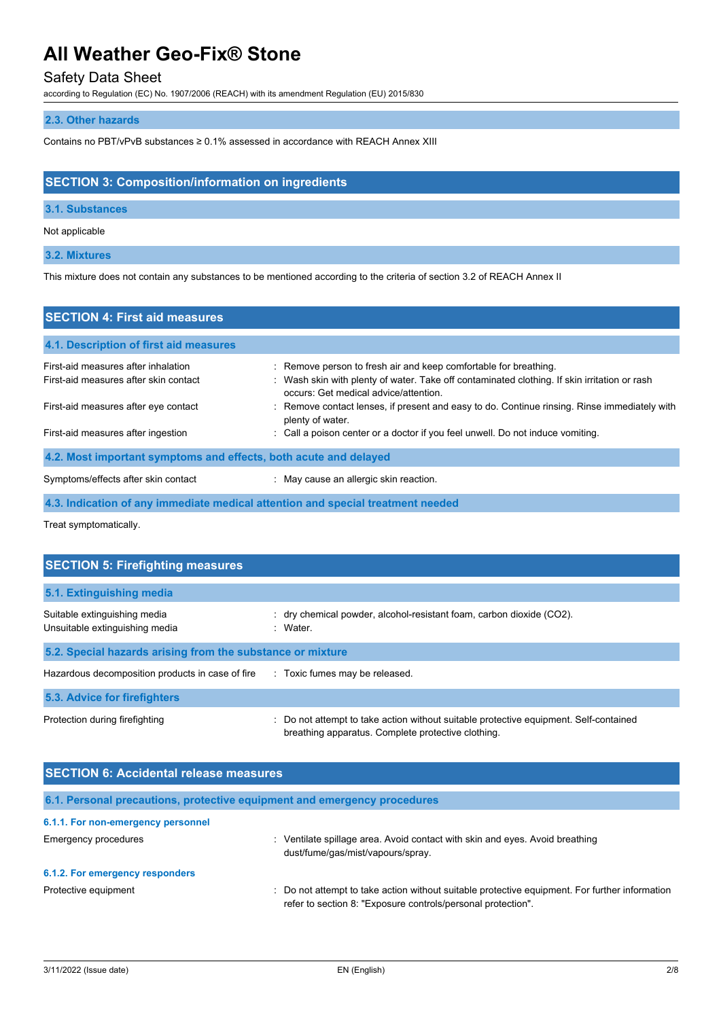# Safety Data Sheet

according to Regulation (EC) No. 1907/2006 (REACH) with its amendment Regulation (EU) 2015/830

## **2.3. Other hazards**

Contains no PBT/vPvB substances ≥ 0.1% assessed in accordance with REACH Annex XIII

# **SECTION 3: Composition/information on ingredients**

## **3.1. Substances**

Not applicable

## **3.2. Mixtures**

This mixture does not contain any substances to be mentioned according to the criteria of section 3.2 of REACH Annex II

| <b>SECTION 4: First aid measures</b>                                         |                                                                                                                                                                  |  |
|------------------------------------------------------------------------------|------------------------------------------------------------------------------------------------------------------------------------------------------------------|--|
| 4.1. Description of first aid measures                                       |                                                                                                                                                                  |  |
| First-aid measures after inhalation<br>First-aid measures after skin contact | : Remove person to fresh air and keep comfortable for breathing.<br>: Wash skin with plenty of water. Take off contaminated clothing. If skin irritation or rash |  |
| First-aid measures after eye contact                                         | occurs: Get medical advice/attention.<br>: Remove contact lenses, if present and easy to do. Continue rinsing. Rinse immediately with<br>plenty of water.        |  |
| First-aid measures after ingestion                                           | : Call a poison center or a doctor if you feel unwell. Do not induce vomiting.                                                                                   |  |
| 4.2. Most important symptoms and effects, both acute and delayed             |                                                                                                                                                                  |  |
| Symptoms/effects after skin contact                                          | : May cause an allergic skin reaction.                                                                                                                           |  |
|                                                                              | 4.3. Indication of any immediate medical attention and special treatment needed                                                                                  |  |

Treat symptomatically.

| <b>SECTION 5: Firefighting measures</b>                        |                                                                                                                                             |  |
|----------------------------------------------------------------|---------------------------------------------------------------------------------------------------------------------------------------------|--|
| 5.1. Extinguishing media                                       |                                                                                                                                             |  |
| Suitable extinguishing media<br>Unsuitable extinguishing media | $:$ dry chemical powder, alcohol-resistant foam, carbon dioxide (CO2).<br>: Water                                                           |  |
| 5.2. Special hazards arising from the substance or mixture     |                                                                                                                                             |  |
| Hazardous decomposition products in case of fire               | : Toxic fumes may be released.                                                                                                              |  |
| 5.3. Advice for firefighters                                   |                                                                                                                                             |  |
| Protection during firefighting                                 | : Do not attempt to take action without suitable protective equipment. Self-contained<br>breathing apparatus. Complete protective clothing. |  |

| <b>SECTION 6: Accidental release measures</b> |                                                                                                                                                                |
|-----------------------------------------------|----------------------------------------------------------------------------------------------------------------------------------------------------------------|
|                                               | 6.1. Personal precautions, protective equipment and emergency procedures                                                                                       |
| 6.1.1. For non-emergency personnel            |                                                                                                                                                                |
| Emergency procedures                          | Ventilate spillage area. Avoid contact with skin and eyes. Avoid breathing<br>dust/fume/gas/mist/vapours/spray.                                                |
| 6.1.2. For emergency responders               |                                                                                                                                                                |
| Protective equipment                          | : Do not attempt to take action without suitable protective equipment. For further information<br>refer to section 8: "Exposure controls/personal protection". |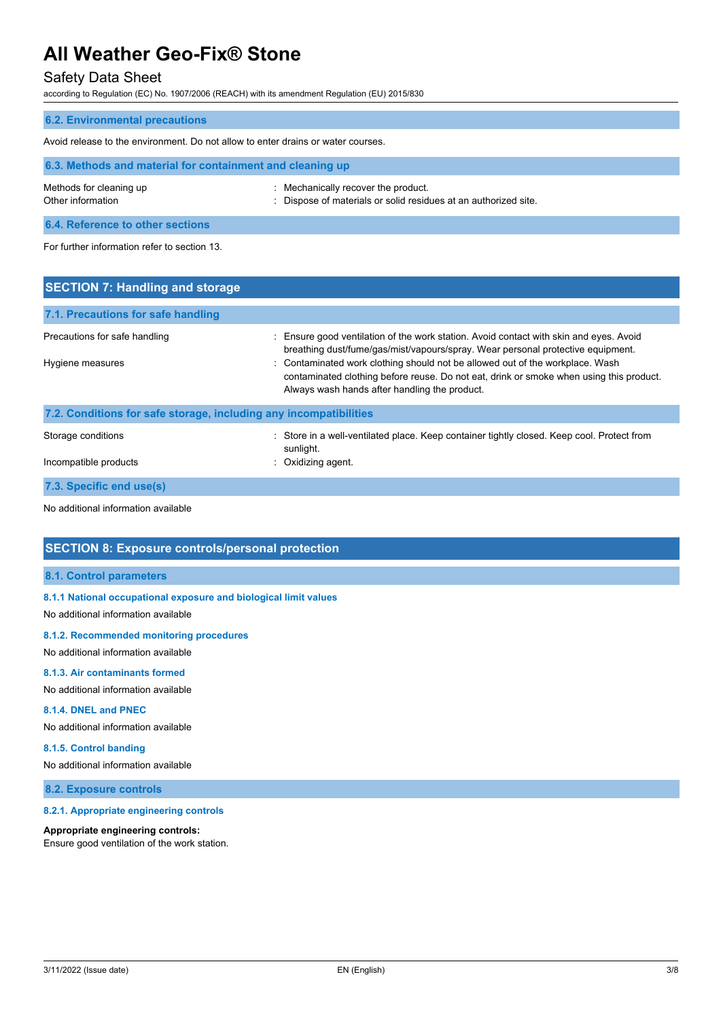# Safety Data Sheet

according to Regulation (EC) No. 1907/2006 (REACH) with its amendment Regulation (EU) 2015/830

| <b>6.2. Environmental precautions</b>                                            |                                                                                                        |  |
|----------------------------------------------------------------------------------|--------------------------------------------------------------------------------------------------------|--|
| Avoid release to the environment. Do not allow to enter drains or water courses. |                                                                                                        |  |
| 6.3. Methods and material for containment and cleaning up                        |                                                                                                        |  |
| Methods for cleaning up<br>Other information                                     | : Mechanically recover the product.<br>: Dispose of materials or solid residues at an authorized site. |  |
| 6.4. Reference to other sections                                                 |                                                                                                        |  |
| For further information refer to section 13.                                     |                                                                                                        |  |

| <b>SECTION 7: Handling and storage</b>                            |                                                                                                                                                                                                                                                                                                                                                                                                        |  |
|-------------------------------------------------------------------|--------------------------------------------------------------------------------------------------------------------------------------------------------------------------------------------------------------------------------------------------------------------------------------------------------------------------------------------------------------------------------------------------------|--|
| 7.1. Precautions for safe handling                                |                                                                                                                                                                                                                                                                                                                                                                                                        |  |
| Precautions for safe handling<br>Hygiene measures                 | : Ensure good ventilation of the work station. Avoid contact with skin and eyes. Avoid<br>breathing dust/fume/gas/mist/vapours/spray. Wear personal protective equipment.<br>: Contaminated work clothing should not be allowed out of the workplace. Wash<br>contaminated clothing before reuse. Do not eat, drink or smoke when using this product.<br>Always wash hands after handling the product. |  |
| 7.2. Conditions for safe storage, including any incompatibilities |                                                                                                                                                                                                                                                                                                                                                                                                        |  |
| Storage conditions<br>Incompatible products                       | Store in a well-ventilated place. Keep container tightly closed. Keep cool. Protect from<br>sunlight.<br>Oxidizing agent.                                                                                                                                                                                                                                                                              |  |

**7.3. Specific end use(s)**

No additional information available

# **SECTION 8: Exposure controls/personal protection**

## **8.1. Control parameters**

**8.1.1 National occupational exposure and biological limit values**

No additional information available

#### **8.1.2. Recommended monitoring procedures**

No additional information available

## **8.1.3. Air contaminants formed**

No additional information available

#### **8.1.4. DNEL and PNEC**

No additional information available

### **8.1.5. Control banding**

No additional information available

## **8.2. Exposure controls**

#### **8.2.1. Appropriate engineering controls**

#### **Appropriate engineering controls:**

Ensure good ventilation of the work station.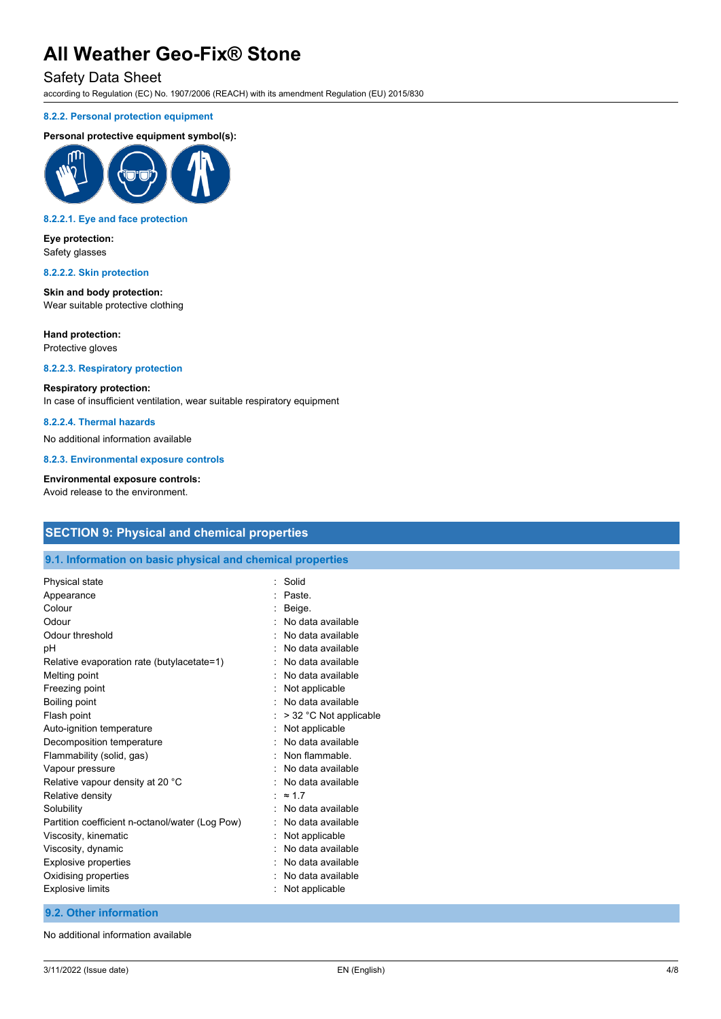## Safety Data Sheet

according to Regulation (EC) No. 1907/2006 (REACH) with its amendment Regulation (EU) 2015/830

#### **8.2.2. Personal protection equipment**

#### **Personal protective equipment symbol(s):**



#### **8.2.2.1. Eye and face protection**

**Eye protection:** Safety glasses

#### **8.2.2.2. Skin protection**

**Skin and body protection:** Wear suitable protective clothing

#### **Hand protection:**

Protective gloves

### **8.2.2.3. Respiratory protection**

#### **Respiratory protection:**

In case of insufficient ventilation, wear suitable respiratory equipment

## **8.2.2.4. Thermal hazards**

No additional information available

**8.2.3. Environmental exposure controls**

#### **Environmental exposure controls:**

Avoid release to the environment.

# **SECTION 9: Physical and chemical properties**

#### **9.1. Information on basic physical and chemical properties**

| Physical state                                  | Solid                  |
|-------------------------------------------------|------------------------|
| Appearance                                      | Paste.                 |
| Colour                                          | Beige.                 |
| Odour                                           | No data available      |
| Odour threshold                                 | No data available      |
| рH                                              | No data available      |
| Relative evaporation rate (butylacetate=1)      | No data available      |
| Melting point                                   | No data available      |
| Freezing point                                  | Not applicable         |
| Boiling point                                   | No data available      |
| Flash point                                     | > 32 °C Not applicable |
| Auto-ignition temperature                       | Not applicable         |
| Decomposition temperature                       | No data available      |
| Flammability (solid, gas)                       | Non flammable.         |
| Vapour pressure                                 | No data available      |
| Relative vapour density at 20 °C                | No data available      |
| Relative density                                | $\approx$ 17           |
| Solubility                                      | No data available      |
| Partition coefficient n-octanol/water (Log Pow) | No data available      |
| Viscosity, kinematic                            | Not applicable         |
| Viscosity, dynamic                              | No data available      |
| Explosive properties                            | No data available      |
| Oxidising properties                            | No data available      |
| <b>Explosive limits</b>                         | Not applicable         |
|                                                 |                        |

### **9.2. Other information**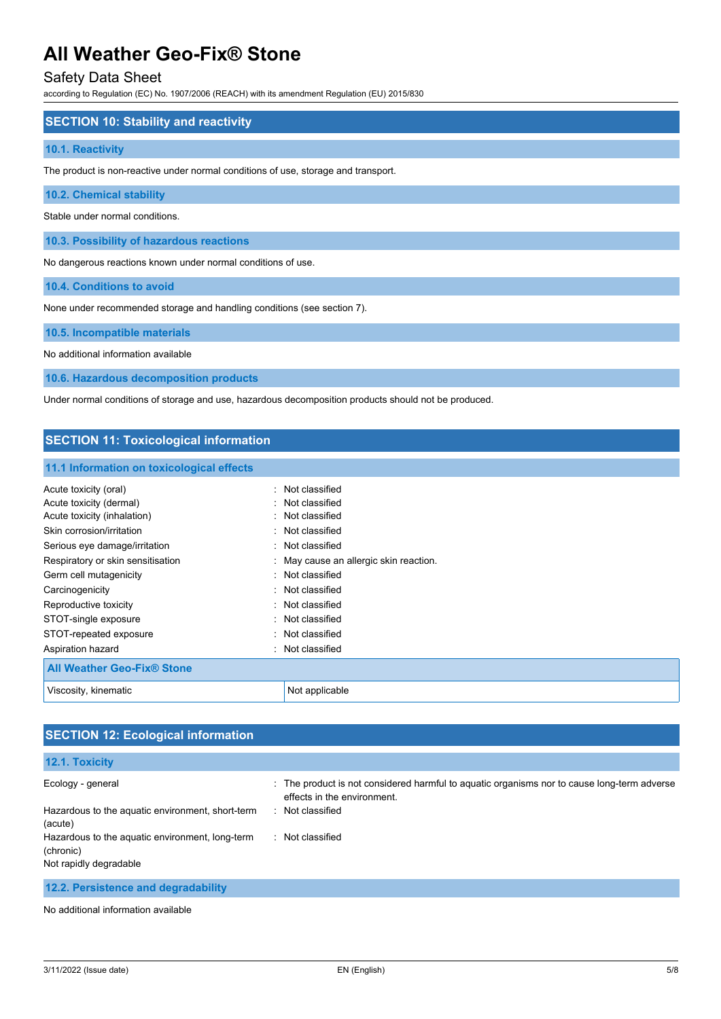## Safety Data Sheet

according to Regulation (EC) No. 1907/2006 (REACH) with its amendment Regulation (EU) 2015/830

### **SECTION 10: Stability and reactivity**

#### **10.1. Reactivity**

The product is non-reactive under normal conditions of use, storage and transport.

**10.2. Chemical stability**

Stable under normal conditions.

**10.3. Possibility of hazardous reactions**

No dangerous reactions known under normal conditions of use.

**10.4. Conditions to avoid**

None under recommended storage and handling conditions (see section 7).

**10.5. Incompatible materials**

No additional information available

**10.6. Hazardous decomposition products**

Under normal conditions of storage and use, hazardous decomposition products should not be produced.

## **SECTION 11: Toxicological information**

#### **11.1 Information on toxicological effects**

| Acute toxicity (oral)             | : Not classified                       |
|-----------------------------------|----------------------------------------|
| Acute toxicity (dermal)           | Not classified                         |
| Acute toxicity (inhalation)       | : Not classified                       |
| Skin corrosion/irritation         | : Not classified                       |
| Serious eye damage/irritation     | : Not classified                       |
| Respiratory or skin sensitisation | : May cause an allergic skin reaction. |
| Germ cell mutagenicity            | : Not classified                       |
| Carcinogenicity                   | : Not classified                       |
| Reproductive toxicity             | : Not classified                       |
| STOT-single exposure              | : Not classified                       |
| STOT-repeated exposure            | : Not classified                       |
| Aspiration hazard<br>٠.           | Not classified                         |
| <b>All Weather Geo-Fix® Stone</b> |                                        |
| Viscosity, kinematic              | Not applicable                         |

# **SECTION 12: Ecological information**

# **12.1. Toxicity**

| Ecology - general                                | : The product is not considered harmful to aquatic organisms nor to cause long-term adverse<br>effects in the environment. |
|--------------------------------------------------|----------------------------------------------------------------------------------------------------------------------------|
| Hazardous to the aquatic environment, short-term | Not classified<br><b>P</b>                                                                                                 |
| (acute)                                          |                                                                                                                            |
| Hazardous to the aquatic environment, long-term  | Not classified                                                                                                             |
| (chronic)                                        |                                                                                                                            |
| Not rapidly degradable                           |                                                                                                                            |
|                                                  |                                                                                                                            |

**12.2. Persistence and degradability**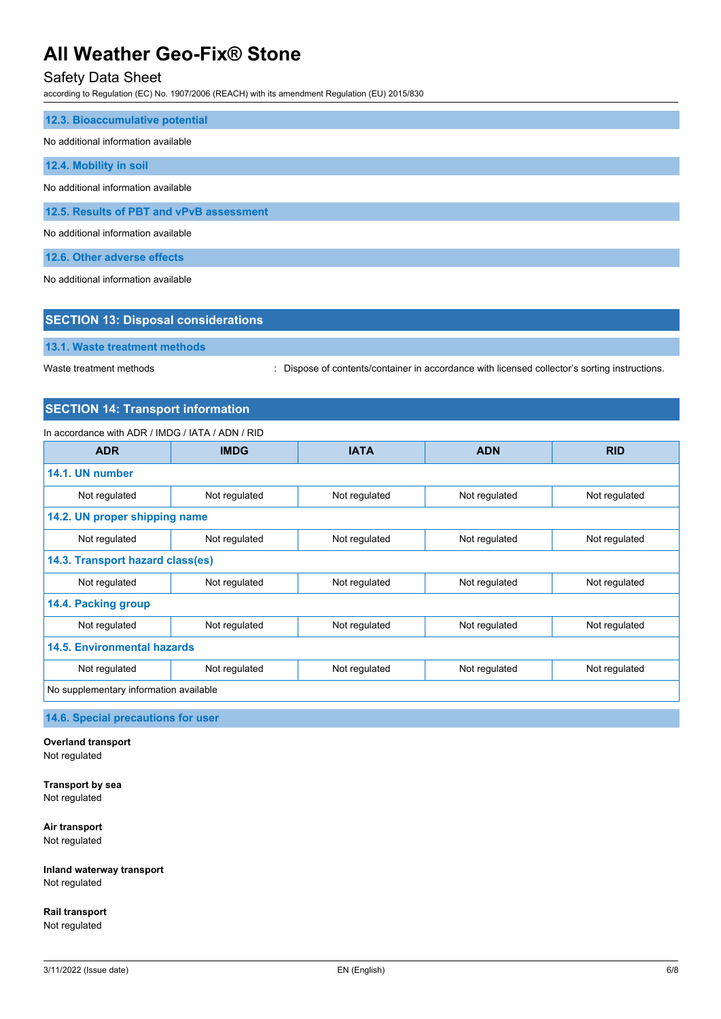# Safety Data Sheet

according to Regulation (EC) No. 1907/2006 (REACH) with its amendment Regulation (EU) 2015/830

| 12.3. Bioaccumulative potential          |
|------------------------------------------|
| No additional information available      |
| 12.4. Mobility in soil                   |
| No additional information available      |
| 12.5. Results of PBT and vPvB assessment |
| No additional information available      |
| 12.6. Other adverse effects              |

No additional information available

| <b>SECTION 13: Disposal considerations</b> |                                                                                               |  |
|--------------------------------------------|-----------------------------------------------------------------------------------------------|--|
| 13.1. Waste treatment methods              |                                                                                               |  |
| Waste treatment methods                    | : Dispose of contents/container in accordance with licensed collector's sorting instructions. |  |

# **SECTION 14: Transport information**

## In accordance with ADR / IMDG / IATA / ADN / RID

| <b>ADR</b>                             | <b>IMDG</b>   | <b>IATA</b>   | <b>ADN</b>    | <b>RID</b>    |
|----------------------------------------|---------------|---------------|---------------|---------------|
| 14.1. UN number                        |               |               |               |               |
| Not regulated                          | Not regulated | Not regulated | Not regulated | Not regulated |
| 14.2. UN proper shipping name          |               |               |               |               |
| Not regulated                          | Not regulated | Not regulated | Not regulated | Not regulated |
| 14.3. Transport hazard class(es)       |               |               |               |               |
| Not regulated                          | Not regulated | Not regulated | Not regulated | Not regulated |
| 14.4. Packing group                    |               |               |               |               |
| Not regulated                          | Not regulated | Not regulated | Not regulated | Not regulated |
| <b>14.5. Environmental hazards</b>     |               |               |               |               |
| Not regulated                          | Not regulated | Not regulated | Not regulated | Not regulated |
| No supplementary information available |               |               |               |               |

**14.6. Special precautions for user**

**Overland transport** Not regulated

**Transport by sea** Not regulated

**Air transport** Not regulated

**Inland waterway transport** Not regulated

**Rail transport** Not regulated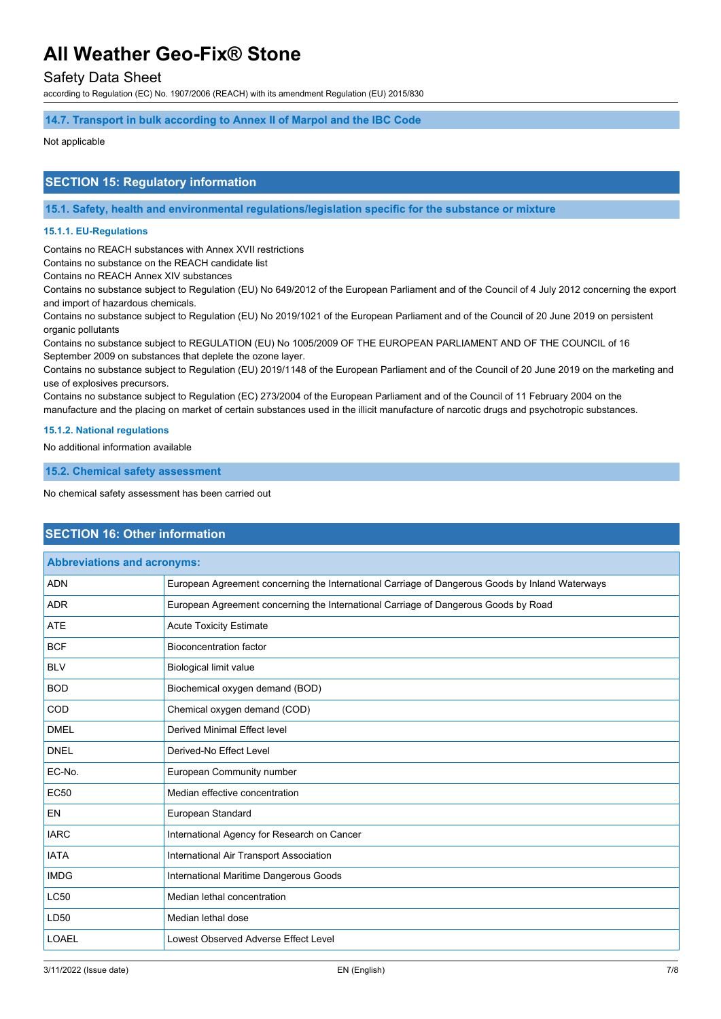# Safety Data Sheet

according to Regulation (EC) No. 1907/2006 (REACH) with its amendment Regulation (EU) 2015/830

### **14.7. Transport in bulk according to Annex II of Marpol and the IBC Code**

#### Not applicable

## **SECTION 15: Regulatory information**

**15.1. Safety, health and environmental regulations/legislation specific for the substance or mixture**

#### **15.1.1. EU-Regulations**

Contains no REACH substances with Annex XVII restrictions

Contains no substance on the REACH candidate list

Contains no REACH Annex XIV substances

Contains no substance subject to Regulation (EU) No 649/2012 of the European Parliament and of the Council of 4 July 2012 concerning the export and import of hazardous chemicals.

Contains no substance subject to Regulation (EU) No 2019/1021 of the European Parliament and of the Council of 20 June 2019 on persistent organic pollutants

Contains no substance subject to REGULATION (EU) No 1005/2009 OF THE EUROPEAN PARLIAMENT AND OF THE COUNCIL of 16 September 2009 on substances that deplete the ozone layer.

Contains no substance subject to Regulation (EU) 2019/1148 of the European Parliament and of the Council of 20 June 2019 on the marketing and use of explosives precursors.

Contains no substance subject to Regulation (EC) 273/2004 of the European Parliament and of the Council of 11 February 2004 on the manufacture and the placing on market of certain substances used in the illicit manufacture of narcotic drugs and psychotropic substances.

#### **15.1.2. National regulations**

No additional information available

**15.2. Chemical safety assessment**

No chemical safety assessment has been carried out

## **SECTION 16: Other information**

| <b>Abbreviations and acronyms:</b> |                                                                                                 |  |
|------------------------------------|-------------------------------------------------------------------------------------------------|--|
| <b>ADN</b>                         | European Agreement concerning the International Carriage of Dangerous Goods by Inland Waterways |  |
| <b>ADR</b>                         | European Agreement concerning the International Carriage of Dangerous Goods by Road             |  |
| <b>ATE</b>                         | <b>Acute Toxicity Estimate</b>                                                                  |  |
| <b>BCF</b>                         | <b>Bioconcentration factor</b>                                                                  |  |
| <b>BLV</b>                         | <b>Biological limit value</b>                                                                   |  |
| <b>BOD</b>                         | Biochemical oxygen demand (BOD)                                                                 |  |
| COD                                | Chemical oxygen demand (COD)                                                                    |  |
| <b>DMEL</b>                        | <b>Derived Minimal Effect level</b>                                                             |  |
| <b>DNEL</b>                        | Derived-No Effect Level                                                                         |  |
| EC-No.                             | European Community number                                                                       |  |
| <b>EC50</b>                        | Median effective concentration                                                                  |  |
| <b>EN</b>                          | European Standard                                                                               |  |
| <b>IARC</b>                        | International Agency for Research on Cancer                                                     |  |
| <b>IATA</b>                        | International Air Transport Association                                                         |  |
| <b>IMDG</b>                        | International Maritime Dangerous Goods                                                          |  |
| <b>LC50</b>                        | Median lethal concentration                                                                     |  |
| LD50                               | Median lethal dose                                                                              |  |
| LOAEL                              | Lowest Observed Adverse Effect Level                                                            |  |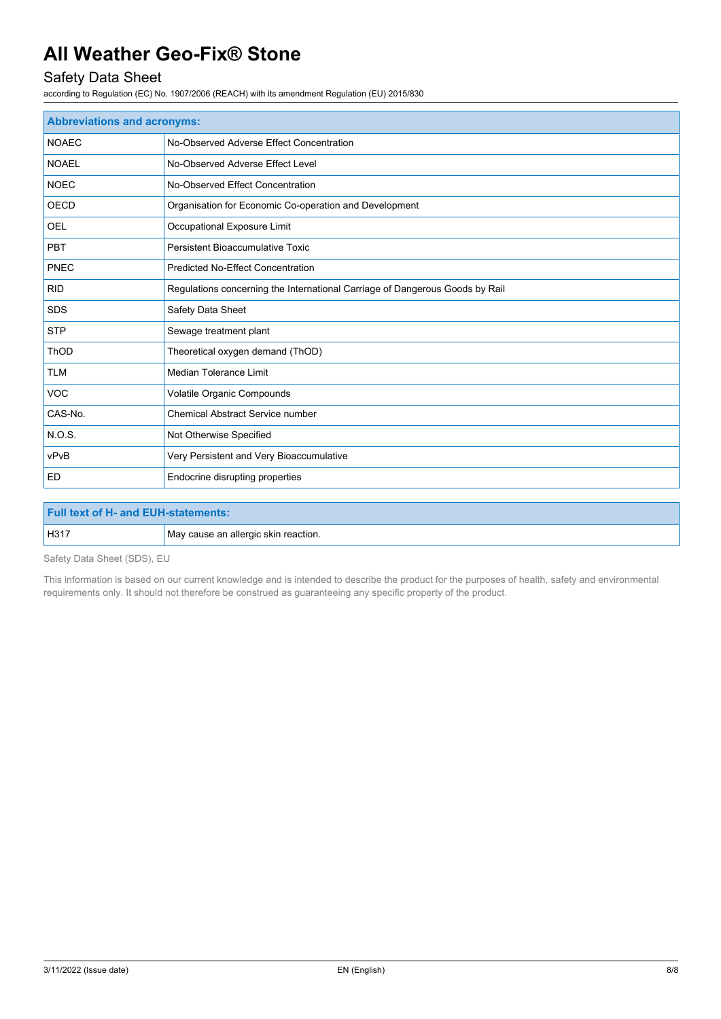# Safety Data Sheet

according to Regulation (EC) No. 1907/2006 (REACH) with its amendment Regulation (EU) 2015/830

| <b>Abbreviations and acronyms:</b> |                                                                              |  |
|------------------------------------|------------------------------------------------------------------------------|--|
| <b>NOAEC</b>                       | No-Observed Adverse Effect Concentration                                     |  |
| <b>NOAEL</b>                       | No-Observed Adverse Effect Level                                             |  |
| <b>NOEC</b>                        | No-Observed Effect Concentration                                             |  |
| <b>OECD</b>                        | Organisation for Economic Co-operation and Development                       |  |
| OEL                                | Occupational Exposure Limit                                                  |  |
| <b>PBT</b>                         | Persistent Bioaccumulative Toxic                                             |  |
| PNEC                               | <b>Predicted No-Effect Concentration</b>                                     |  |
| <b>RID</b>                         | Regulations concerning the International Carriage of Dangerous Goods by Rail |  |
| <b>SDS</b>                         | Safety Data Sheet                                                            |  |
| <b>STP</b>                         | Sewage treatment plant                                                       |  |
| <b>ThOD</b>                        | Theoretical oxygen demand (ThOD)                                             |  |
| <b>TLM</b>                         | <b>Median Tolerance Limit</b>                                                |  |
| <b>VOC</b>                         | Volatile Organic Compounds                                                   |  |
| CAS-No.                            | <b>Chemical Abstract Service number</b>                                      |  |
| <b>N.O.S.</b>                      | Not Otherwise Specified                                                      |  |
| vPvB                               | Very Persistent and Very Bioaccumulative                                     |  |
| <b>ED</b>                          | Endocrine disrupting properties                                              |  |

| <b>Full text of H- and EUH-statements:</b> |                                      |
|--------------------------------------------|--------------------------------------|
| H <sub>317</sub>                           | May cause an allergic skin reaction. |

Safety Data Sheet (SDS), EU

This information is based on our current knowledge and is intended to describe the product for the purposes of health, safety and environmental requirements only. It should not therefore be construed as guaranteeing any specific property of the product.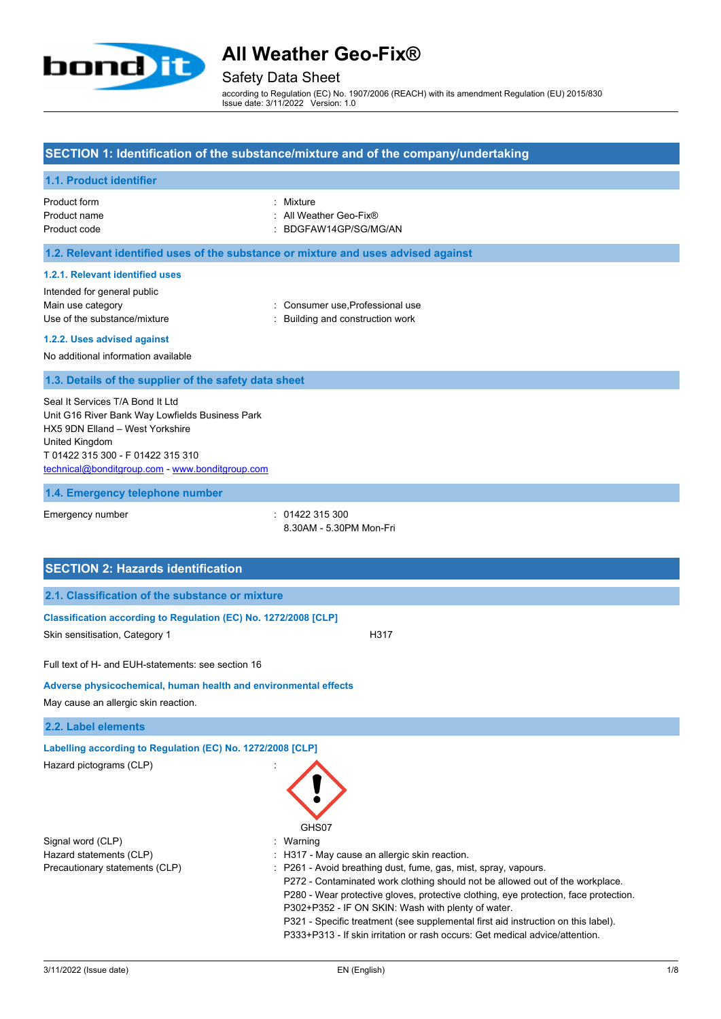

## Safety Data Sheet

according to Regulation (EC) No. 1907/2006 (REACH) with its amendment Regulation (EU) 2015/830 Issue date: 3/11/2022 Version: 1.0

## **SECTION 1: Identification of the substance/mixture and of the company/undertaking**

## **1.1. Product identifier**

| Product form | : Mixture              |
|--------------|------------------------|
| Product name | : All Weather Geo-Fix® |
| Product code | : BDGFAW14GP/SG/MG/AN  |

### **1.2. Relevant identified uses of the substance or mixture and uses advised against**

#### **1.2.1. Relevant identified uses**

Intended for general public

Main use category **Main use category Consumer use, Professional use** 

Use of the substance/mixture in the substance/mixture in the substance of the substance of the substance of the substance of the substance of the substance/mixture in the substance of the substance of the substance of the

## **1.2.2. Uses advised against**

No additional information available

#### **1.3. Details of the supplier of the safety data sheet**

Seal It Services T/A Bond It Ltd Unit G16 River Bank Way Lowfields Business Park HX5 9DN Elland – West Yorkshire United Kingdom T 01422 315 300 - F 01422 315 310 [technical@bonditgroup.com](mailto:technical@bonditgroup.com) - [www.bonditgroup.com](http://www.bonditgroup.com/)

#### **1.4. Emergency telephone number**

Emergency number : 01422 315 300

8.30AM - 5.30PM Mon-Fri

# **SECTION 2: Hazards identification 2.1. Classification of the substance or mixture Classification according to Regulation (EC) No. 1272/2008 [CLP]** Skin sensitisation, Category 1 H317 Full text of H- and EUH-statements: see section 16 **Adverse physicochemical, human health and environmental effects** May cause an allergic skin reaction. **2.2. Label elements Labelling according to Regulation (EC) No. 1272/2008 [CLP]** Hazard pictograms (CLP) : GHS07 Signal word (CLP)  $\qquad \qquad$ : Warning Hazard statements (CLP) **interest and the CLP** in H317 - May cause an allergic skin reaction. Precautionary statements (CLP) : P261 - Avoid breathing dust, fume, gas, mist, spray, vapours. P272 - Contaminated work clothing should not be allowed out of the workplace. P280 - Wear protective gloves, protective clothing, eye protection, face protection. P302+P352 - IF ON SKIN: Wash with plenty of water. P321 - Specific treatment (see supplemental first aid instruction on this label). P333+P313 - If skin irritation or rash occurs: Get medical advice/attention.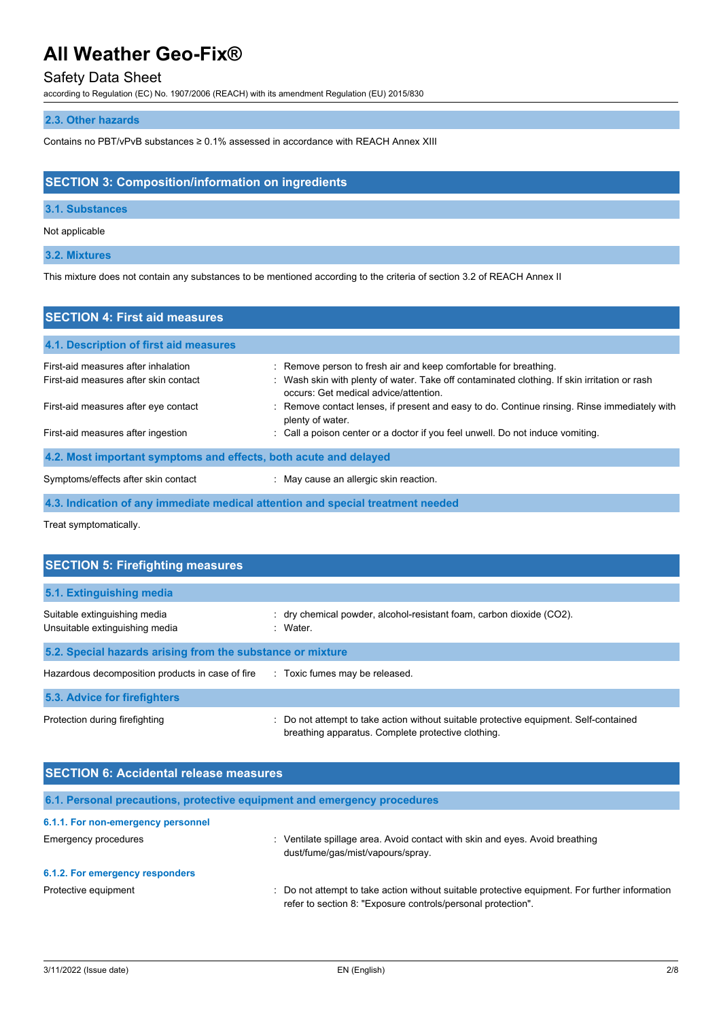# Safety Data Sheet

according to Regulation (EC) No. 1907/2006 (REACH) with its amendment Regulation (EU) 2015/830

## **2.3. Other hazards**

Contains no PBT/vPvB substances ≥ 0.1% assessed in accordance with REACH Annex XIII

# **SECTION 3: Composition/information on ingredients**

## **3.1. Substances**

Not applicable

## **3.2. Mixtures**

This mixture does not contain any substances to be mentioned according to the criteria of section 3.2 of REACH Annex II

| <b>SECTION 4: First aid measures</b>                                         |                                                                                                                                                                                                           |
|------------------------------------------------------------------------------|-----------------------------------------------------------------------------------------------------------------------------------------------------------------------------------------------------------|
| 4.1. Description of first aid measures                                       |                                                                                                                                                                                                           |
| First-aid measures after inhalation<br>First-aid measures after skin contact | : Remove person to fresh air and keep comfortable for breathing.<br>: Wash skin with plenty of water. Take off contaminated clothing. If skin irritation or rash<br>occurs: Get medical advice/attention. |
| First-aid measures after eye contact                                         | : Remove contact lenses, if present and easy to do. Continue rinsing. Rinse immediately with<br>plenty of water.                                                                                          |
| First-aid measures after ingestion                                           | : Call a poison center or a doctor if you feel unwell. Do not induce vomiting.                                                                                                                            |
| 4.2. Most important symptoms and effects, both acute and delayed             |                                                                                                                                                                                                           |
| Symptoms/effects after skin contact                                          | : May cause an allergic skin reaction.                                                                                                                                                                    |
|                                                                              | 4.3. Indication of any immediate medical attention and special treatment needed                                                                                                                           |

Treat symptomatically.

| <b>SECTION 5: Firefighting measures</b>                        |                                                                                                                                             |  |  |
|----------------------------------------------------------------|---------------------------------------------------------------------------------------------------------------------------------------------|--|--|
| 5.1. Extinguishing media                                       |                                                                                                                                             |  |  |
| Suitable extinguishing media<br>Unsuitable extinguishing media | $:$ dry chemical powder, alcohol-resistant foam, carbon dioxide (CO2).<br>: Water                                                           |  |  |
| 5.2. Special hazards arising from the substance or mixture     |                                                                                                                                             |  |  |
| Hazardous decomposition products in case of fire               | : Toxic fumes may be released.                                                                                                              |  |  |
| 5.3. Advice for firefighters                                   |                                                                                                                                             |  |  |
| Protection during firefighting                                 | : Do not attempt to take action without suitable protective equipment. Self-contained<br>breathing apparatus. Complete protective clothing. |  |  |

| <b>SECTION 6: Accidental release measures</b> |                                                                                                                                                              |  |
|-----------------------------------------------|--------------------------------------------------------------------------------------------------------------------------------------------------------------|--|
|                                               | 6.1. Personal precautions, protective equipment and emergency procedures                                                                                     |  |
| 6.1.1. For non-emergency personnel            |                                                                                                                                                              |  |
| Emergency procedures                          | Ventilate spillage area. Avoid contact with skin and eyes. Avoid breathing<br>dust/fume/gas/mist/vapours/spray.                                              |  |
| 6.1.2. For emergency responders               |                                                                                                                                                              |  |
| Protective equipment                          | Do not attempt to take action without suitable protective equipment. For further information<br>refer to section 8: "Exposure controls/personal protection". |  |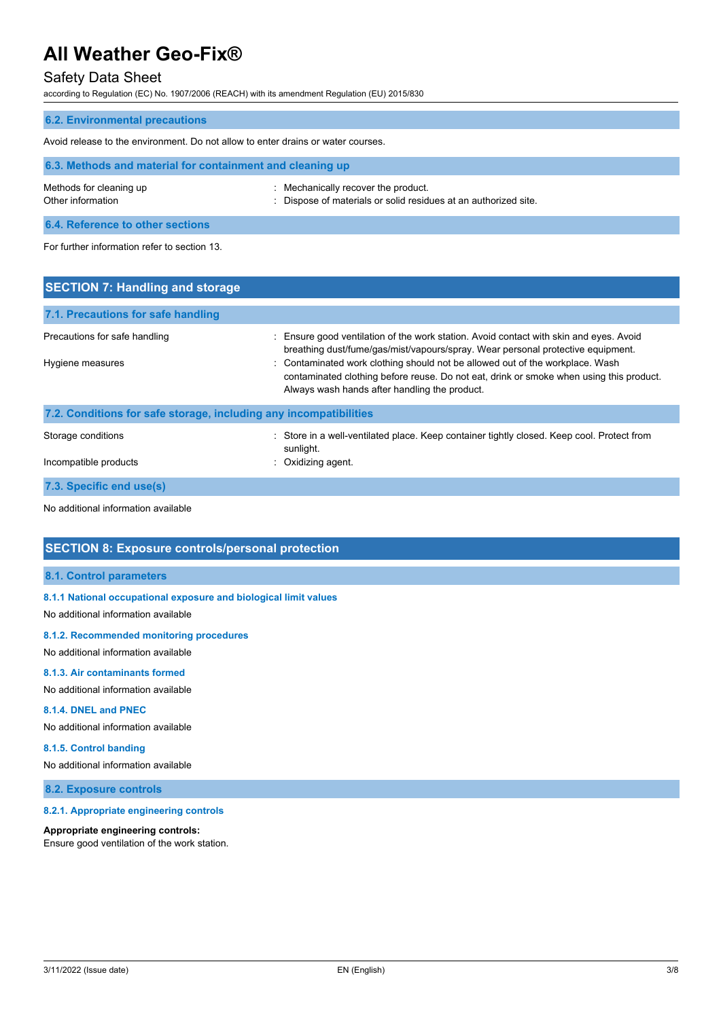# Safety Data Sheet

according to Regulation (EC) No. 1907/2006 (REACH) with its amendment Regulation (EU) 2015/830

| <b>6.2. Environmental precautions</b>                                            |                                                                                                        |  |
|----------------------------------------------------------------------------------|--------------------------------------------------------------------------------------------------------|--|
| Avoid release to the environment. Do not allow to enter drains or water courses. |                                                                                                        |  |
| 6.3. Methods and material for containment and cleaning up                        |                                                                                                        |  |
| Methods for cleaning up<br>Other information                                     | : Mechanically recover the product.<br>: Dispose of materials or solid residues at an authorized site. |  |
| 6.4. Reference to other sections                                                 |                                                                                                        |  |
| For further information refer to section 13.                                     |                                                                                                        |  |

| <b>SECTION 7: Handling and storage</b>                            |                                                                                                                                                                                                                                                                                                                                                                                                        |
|-------------------------------------------------------------------|--------------------------------------------------------------------------------------------------------------------------------------------------------------------------------------------------------------------------------------------------------------------------------------------------------------------------------------------------------------------------------------------------------|
| 7.1. Precautions for safe handling                                |                                                                                                                                                                                                                                                                                                                                                                                                        |
| Precautions for safe handling<br>Hygiene measures                 | : Ensure good ventilation of the work station. Avoid contact with skin and eyes. Avoid<br>breathing dust/fume/gas/mist/vapours/spray. Wear personal protective equipment.<br>: Contaminated work clothing should not be allowed out of the workplace. Wash<br>contaminated clothing before reuse. Do not eat, drink or smoke when using this product.<br>Always wash hands after handling the product. |
| 7.2. Conditions for safe storage, including any incompatibilities |                                                                                                                                                                                                                                                                                                                                                                                                        |
| Storage conditions<br>Incompatible products                       | : Store in a well-ventilated place. Keep container tightly closed. Keep cool. Protect from<br>sunlight.<br>Oxidizing agent.                                                                                                                                                                                                                                                                            |
|                                                                   |                                                                                                                                                                                                                                                                                                                                                                                                        |

**7.3. Specific end use(s)**

No additional information available

## **SECTION 8: Exposure controls/personal protection**

## **8.1. Control parameters**

**8.1.1 National occupational exposure and biological limit values**

No additional information available

#### **8.1.2. Recommended monitoring procedures**

No additional information available

## **8.1.3. Air contaminants formed**

No additional information available

### **8.1.4. DNEL and PNEC**

No additional information available

### **8.1.5. Control banding**

No additional information available

## **8.2. Exposure controls**

#### **8.2.1. Appropriate engineering controls**

# **Appropriate engineering controls:**

Ensure good ventilation of the work station.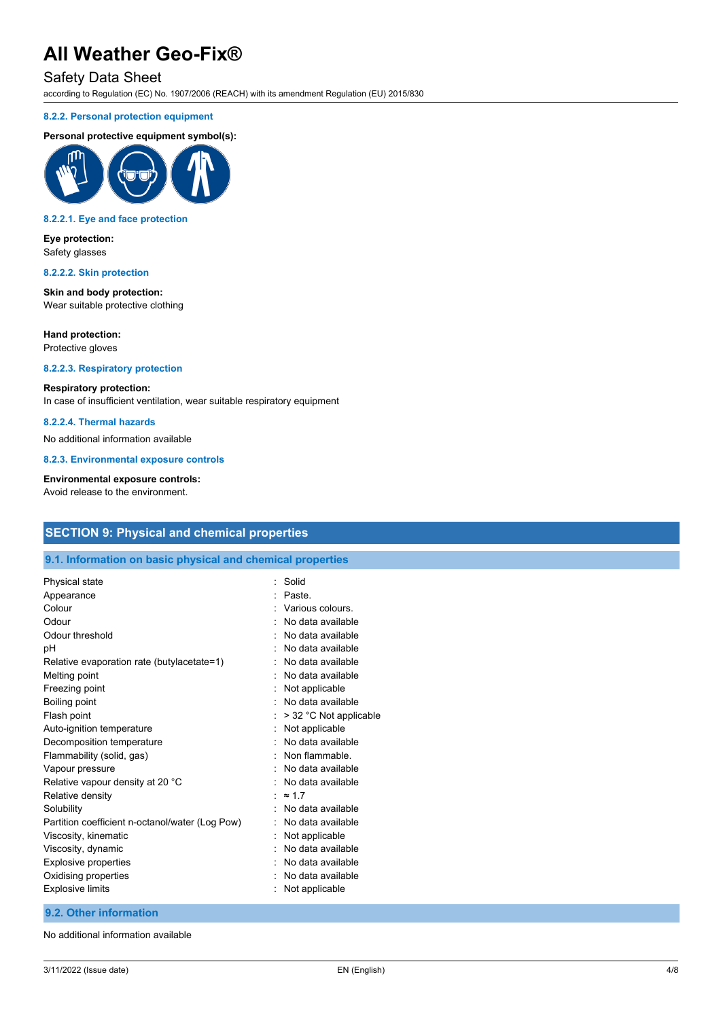# Safety Data Sheet

according to Regulation (EC) No. 1907/2006 (REACH) with its amendment Regulation (EU) 2015/830

#### **8.2.2. Personal protection equipment**

#### **Personal protective equipment symbol(s):**



#### **8.2.2.1. Eye and face protection**

### **Eye protection:** Safety glasses

# **8.2.2.2. Skin protection**

**Skin and body protection:** Wear suitable protective clothing

#### **Hand protection:**

Protective gloves

### **8.2.2.3. Respiratory protection**

#### **Respiratory protection:**

In case of insufficient ventilation, wear suitable respiratory equipment

## **8.2.2.4. Thermal hazards**

No additional information available

**8.2.3. Environmental exposure controls**

#### **Environmental exposure controls:**

Avoid release to the environment.

# **SECTION 9: Physical and chemical properties**

### **9.1. Information on basic physical and chemical properties**

| Physical state                                  | Solid<br>۰             |  |
|-------------------------------------------------|------------------------|--|
| Appearance                                      | Paste.                 |  |
| Colour                                          | Various colours        |  |
| Odour                                           | No data available      |  |
| Odour threshold                                 | No data available      |  |
| рH                                              | No data available      |  |
| Relative evaporation rate (butylacetate=1)      | No data available      |  |
| Melting point                                   | No data available      |  |
| Freezing point                                  | Not applicable         |  |
| Boiling point                                   | No data available      |  |
| Flash point                                     | > 32 °C Not applicable |  |
| Auto-ignition temperature                       | Not applicable         |  |
| Decomposition temperature                       | No data available      |  |
| Flammability (solid, gas)                       | Non flammable          |  |
| Vapour pressure                                 | No data available      |  |
| Relative vapour density at 20 °C                | No data available      |  |
| Relative density                                | $\approx$ 17           |  |
| Solubility                                      | No data available      |  |
| Partition coefficient n-octanol/water (Log Pow) | No data available      |  |
| Viscosity, kinematic                            | Not applicable         |  |
| Viscosity, dynamic                              | No data available      |  |
| Explosive properties                            | No data available      |  |
| Oxidising properties                            | No data available      |  |
| <b>Explosive limits</b>                         | Not applicable         |  |
|                                                 |                        |  |

#### **9.2. Other information**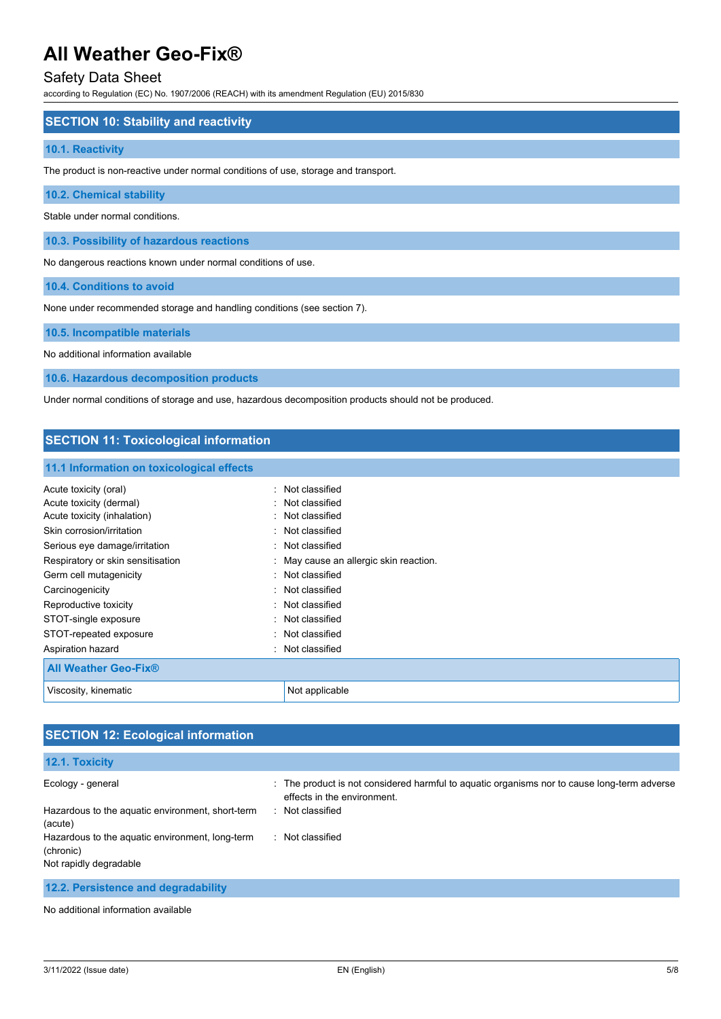# Safety Data Sheet

according to Regulation (EC) No. 1907/2006 (REACH) with its amendment Regulation (EU) 2015/830

### **SECTION 10: Stability and reactivity**

#### **10.1. Reactivity**

The product is non-reactive under normal conditions of use, storage and transport.

**10.2. Chemical stability**

Stable under normal conditions.

**10.3. Possibility of hazardous reactions**

No dangerous reactions known under normal conditions of use.

**10.4. Conditions to avoid**

None under recommended storage and handling conditions (see section 7).

**10.5. Incompatible materials**

No additional information available

**10.6. Hazardous decomposition products**

Under normal conditions of storage and use, hazardous decomposition products should not be produced.

## **SECTION 11: Toxicological information**

#### **11.1 Information on toxicological effects**

| Acute toxicity (oral)             | : Not classified                       |
|-----------------------------------|----------------------------------------|
| Acute toxicity (dermal)           | : Not classified                       |
| Acute toxicity (inhalation)       | : Not classified                       |
| Skin corrosion/irritation         | : Not classified                       |
| Serious eye damage/irritation     | : Not classified                       |
| Respiratory or skin sensitisation | : May cause an allergic skin reaction. |
| Germ cell mutagenicity            | : Not classified                       |
| Carcinogenicity                   | : Not classified                       |
| Reproductive toxicity             | : Not classified                       |
| STOT-single exposure              | : Not classified                       |
| STOT-repeated exposure            | : Not classified                       |
| Aspiration hazard                 | : Not classified                       |
| <b>All Weather Geo-Fix®</b>       |                                        |
| Viscosity, kinematic              | Not applicable                         |

# **SECTION 12: Ecological information**

### **12.1. Toxicity**

| Ecology - general                                            | : The product is not considered harmful to aguatic organisms nor to cause long-term adverse<br>effects in the environment. |
|--------------------------------------------------------------|----------------------------------------------------------------------------------------------------------------------------|
| Hazardous to the aquatic environment, short-term<br>(acute)  | Not classified                                                                                                             |
| Hazardous to the aquatic environment, long-term<br>(chronic) | Not classified                                                                                                             |
| Not rapidly degradable                                       |                                                                                                                            |
|                                                              |                                                                                                                            |

**12.2. Persistence and degradability**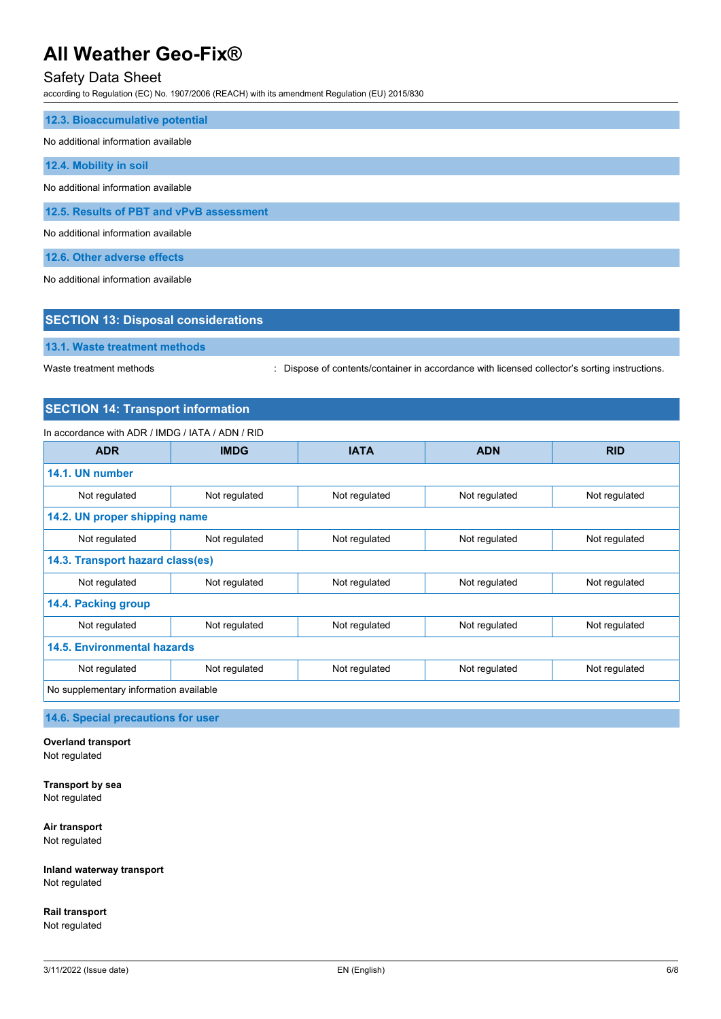# Safety Data Sheet

according to Regulation (EC) No. 1907/2006 (REACH) with its amendment Regulation (EU) 2015/830

| 12.3. Bioaccumulative potential          |
|------------------------------------------|
| No additional information available      |
| 12.4. Mobility in soil                   |
| No additional information available      |
| 12.5. Results of PBT and vPvB assessment |
| No additional information available      |
| 12.6. Other adverse effects              |

No additional information available

| <b>SECTION 13: Disposal considerations</b> |                                                                                               |  |
|--------------------------------------------|-----------------------------------------------------------------------------------------------|--|
| 13.1. Waste treatment methods              |                                                                                               |  |
| Waste treatment methods                    | : Dispose of contents/container in accordance with licensed collector's sorting instructions. |  |

# **SECTION 14: Transport information**

## In accordance with ADR / IMDG / IATA / ADN / RID

| <b>ADR</b>                             | <b>IMDG</b>                                     | <b>IATA</b>   | <b>ADN</b>    | <b>RID</b>    |
|----------------------------------------|-------------------------------------------------|---------------|---------------|---------------|
| 14.1. UN number                        |                                                 |               |               |               |
| Not regulated                          | Not regulated                                   | Not regulated | Not regulated | Not regulated |
| 14.2. UN proper shipping name          |                                                 |               |               |               |
| Not regulated                          | Not regulated                                   |               | Not regulated | Not regulated |
| 14.3. Transport hazard class(es)       |                                                 |               |               |               |
| Not regulated                          | Not regulated<br>Not regulated<br>Not regulated |               | Not regulated |               |
| 14.4. Packing group                    |                                                 |               |               |               |
| Not regulated                          | Not regulated                                   | Not regulated | Not regulated | Not regulated |
| <b>14.5. Environmental hazards</b>     |                                                 |               |               |               |
| Not regulated                          | Not regulated                                   | Not regulated | Not regulated | Not regulated |
| No supplementary information available |                                                 |               |               |               |

**14.6. Special precautions for user**

**Overland transport** Not regulated

**Transport by sea** Not regulated

**Air transport** Not regulated

**Inland waterway transport** Not regulated

**Rail transport** Not regulated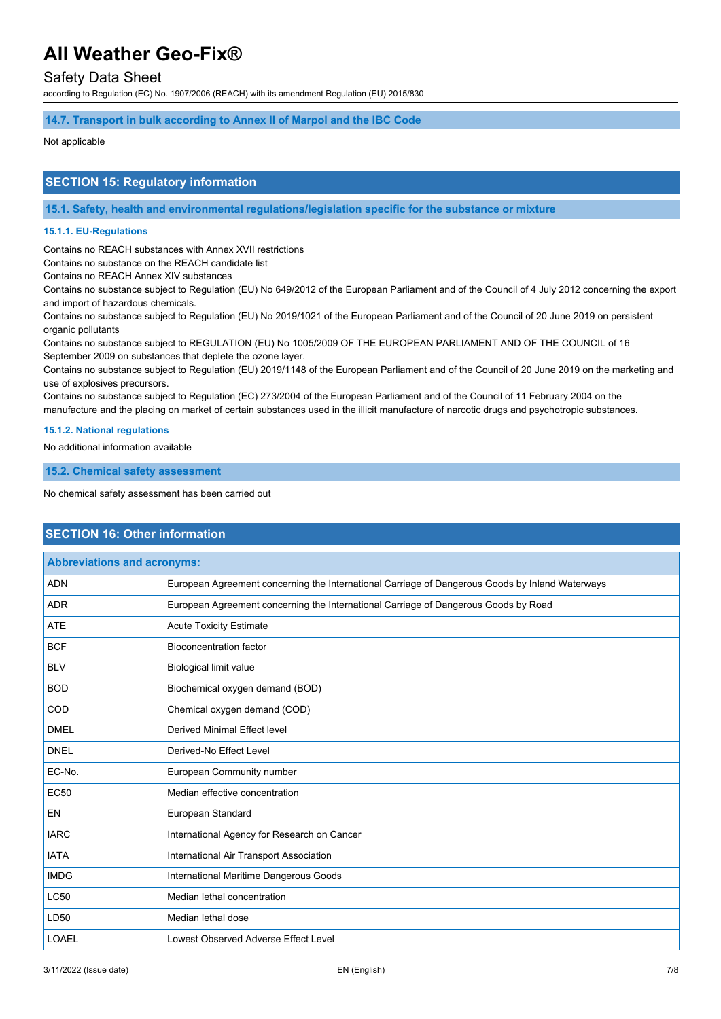# Safety Data Sheet

according to Regulation (EC) No. 1907/2006 (REACH) with its amendment Regulation (EU) 2015/830

### **14.7. Transport in bulk according to Annex II of Marpol and the IBC Code**

#### Not applicable

## **SECTION 15: Regulatory information**

**15.1. Safety, health and environmental regulations/legislation specific for the substance or mixture**

#### **15.1.1. EU-Regulations**

Contains no REACH substances with Annex XVII restrictions

Contains no substance on the REACH candidate list

Contains no REACH Annex XIV substances

Contains no substance subject to Regulation (EU) No 649/2012 of the European Parliament and of the Council of 4 July 2012 concerning the export and import of hazardous chemicals.

Contains no substance subject to Regulation (EU) No 2019/1021 of the European Parliament and of the Council of 20 June 2019 on persistent organic pollutants

Contains no substance subject to REGULATION (EU) No 1005/2009 OF THE EUROPEAN PARLIAMENT AND OF THE COUNCIL of 16 September 2009 on substances that deplete the ozone layer.

Contains no substance subject to Regulation (EU) 2019/1148 of the European Parliament and of the Council of 20 June 2019 on the marketing and use of explosives precursors.

Contains no substance subject to Regulation (EC) 273/2004 of the European Parliament and of the Council of 11 February 2004 on the manufacture and the placing on market of certain substances used in the illicit manufacture of narcotic drugs and psychotropic substances.

#### **15.1.2. National regulations**

No additional information available

**15.2. Chemical safety assessment**

No chemical safety assessment has been carried out

## **SECTION 16: Other information**

| <b>Abbreviations and acronyms:</b> |                                                                                                 |  |
|------------------------------------|-------------------------------------------------------------------------------------------------|--|
| <b>ADN</b>                         | European Agreement concerning the International Carriage of Dangerous Goods by Inland Waterways |  |
| <b>ADR</b>                         | European Agreement concerning the International Carriage of Dangerous Goods by Road             |  |
| <b>ATE</b>                         | <b>Acute Toxicity Estimate</b>                                                                  |  |
| <b>BCF</b>                         | <b>Bioconcentration factor</b>                                                                  |  |
| <b>BLV</b>                         | <b>Biological limit value</b>                                                                   |  |
| <b>BOD</b>                         | Biochemical oxygen demand (BOD)                                                                 |  |
| COD                                | Chemical oxygen demand (COD)                                                                    |  |
| <b>DMEL</b>                        | <b>Derived Minimal Effect level</b>                                                             |  |
| <b>DNEL</b>                        | Derived-No Effect Level                                                                         |  |
| EC-No.                             | European Community number                                                                       |  |
| <b>EC50</b>                        | Median effective concentration                                                                  |  |
| <b>EN</b>                          | European Standard                                                                               |  |
| <b>IARC</b>                        | International Agency for Research on Cancer                                                     |  |
| <b>IATA</b>                        | International Air Transport Association                                                         |  |
| <b>IMDG</b>                        | International Maritime Dangerous Goods                                                          |  |
| <b>LC50</b>                        | Median lethal concentration                                                                     |  |
| LD50                               | Median lethal dose                                                                              |  |
| <b>LOAEL</b>                       | Lowest Observed Adverse Effect Level                                                            |  |